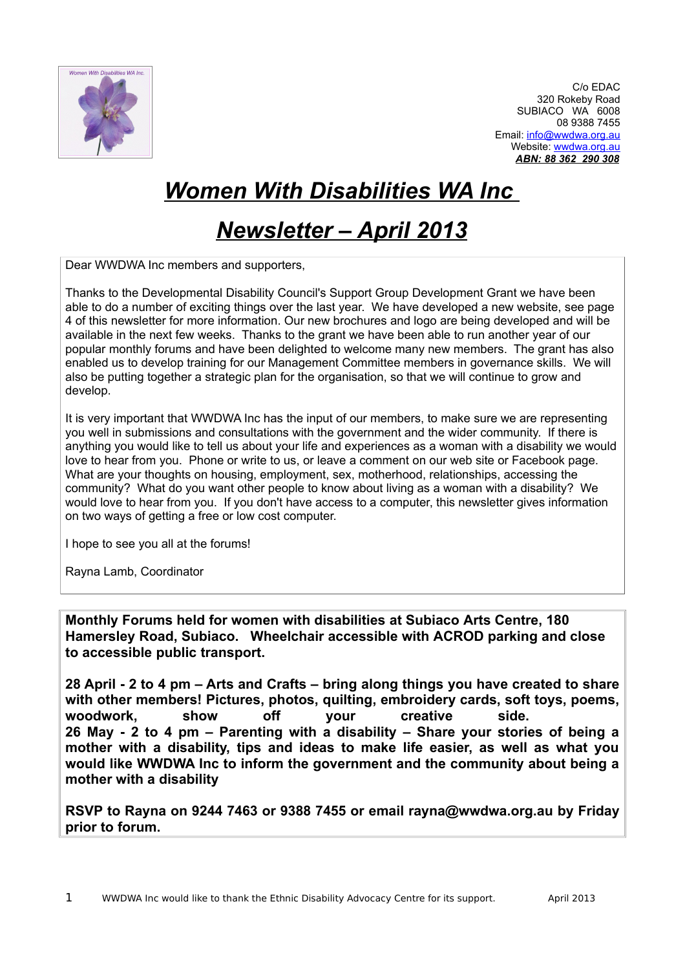

C/o EDAC 320 Rokeby Road SUBIACO WA 6008 08 9388 7455 Email: [info@wwdwa.org.au](mailto:info@wwdwa.org.au) Website: [wwdwa.org.au](http://www.wwdwa.org.au/) *ABN: 88 362 290 308*

# *Women With Disabilities WA Inc*

## *Newsletter – April 2013*

Dear WWDWA Inc members and supporters,

Thanks to the Developmental Disability Council's Support Group Development Grant we have been able to do a number of exciting things over the last year. We have developed a new website, see page 4 of this newsletter for more information. Our new brochures and logo are being developed and will be available in the next few weeks. Thanks to the grant we have been able to run another year of our popular monthly forums and have been delighted to welcome many new members. The grant has also enabled us to develop training for our Management Committee members in governance skills. We will also be putting together a strategic plan for the organisation, so that we will continue to grow and develop.

It is very important that WWDWA Inc has the input of our members, to make sure we are representing you well in submissions and consultations with the government and the wider community. If there is anything you would like to tell us about your life and experiences as a woman with a disability we would love to hear from you. Phone or write to us, or leave a comment on our web site or Facebook page. What are your thoughts on housing, employment, sex, motherhood, relationships, accessing the community? What do you want other people to know about living as a woman with a disability? We would love to hear from you. If you don't have access to a computer, this newsletter gives information on two ways of getting a free or low cost computer.

I hope to see you all at the forums!

Rayna Lamb, Coordinator

**Monthly Forums held for women with disabilities at Subiaco Arts Centre, 180 Hamersley Road, Subiaco. Wheelchair accessible with ACROD parking and close to accessible public transport.** 

**28 April - 2 to 4 pm – Arts and Crafts – bring along things you have created to share with other members! Pictures, photos, quilting, embroidery cards, soft toys, poems, woodwork, show off your creative side. 26 May - 2 to 4 pm – Parenting with a disability – Share your stories of being a mother with a disability, tips and ideas to make life easier, as well as what you would like WWDWA Inc to inform the government and the community about being a mother with a disability**

**RSVP to Rayna on 9244 7463 or 9388 7455 or email rayna@wwdwa.org.au by Friday prior to forum.**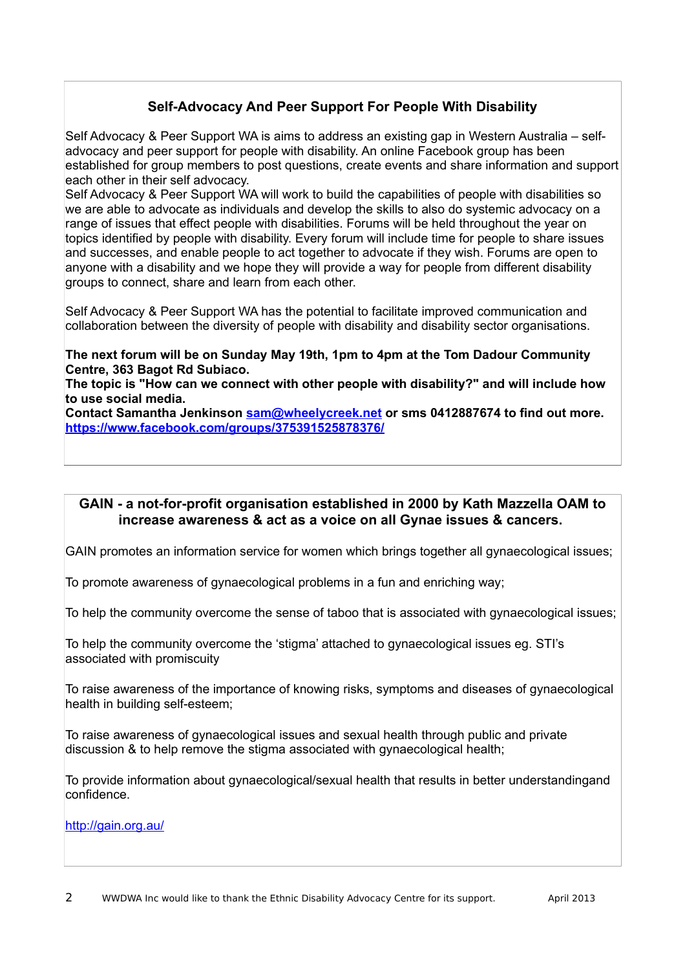## **Self-Advocacy And Peer Support For People With Disability**

Self Advocacy & Peer Support WA is aims to address an existing gap in Western Australia – selfadvocacy and peer support for people with disability. An online Facebook group has been established for group members to post questions, create events and share information and support each other in their self advocacy.

Self Advocacy & Peer Support WA will work to build the capabilities of people with disabilities so we are able to advocate as individuals and develop the skills to also do systemic advocacy on a range of issues that effect people with disabilities. Forums will be held throughout the year on topics identified by people with disability. Every forum will include time for people to share issues and successes, and enable people to act together to advocate if they wish. Forums are open to anyone with a disability and we hope they will provide a way for people from different disability groups to connect, share and learn from each other.

Self Advocacy & Peer Support WA has the potential to facilitate improved communication and collaboration between the diversity of people with disability and disability sector organisations.

### **The next forum will be on Sunday May 19th, 1pm to 4pm at the Tom Dadour Community Centre, 363 Bagot Rd Subiaco.**

**The topic is "How can we connect with other people with disability?" and will include how to use social media.** 

**Contact Samantha Jenkinson [sam@wheelycreek.net](mailto:sam@wheelycreek.net) or sms 0412887674 to find out more. <https://www.facebook.com/groups/375391525878376/>**

## **GAIN - a not-for-profit organisation established in 2000 by Kath Mazzella OAM to increase awareness & act as a voice on all Gynae issues & cancers.**

GAIN promotes an information service for women which brings together all gynaecological issues;

To promote awareness of gynaecological problems in a fun and enriching way;

To help the community overcome the sense of taboo that is associated with gynaecological issues;

To help the community overcome the 'stigma' attached to gynaecological issues eg. STI's associated with promiscuity

To raise awareness of the importance of knowing risks, symptoms and diseases of gynaecological health in building self-esteem;

To raise awareness of gynaecological issues and sexual health through public and private discussion & to help remove the stigma associated with gynaecological health;

To provide information about gynaecological/sexual health that results in better understandingand confidence.

<http://gain.org.au/>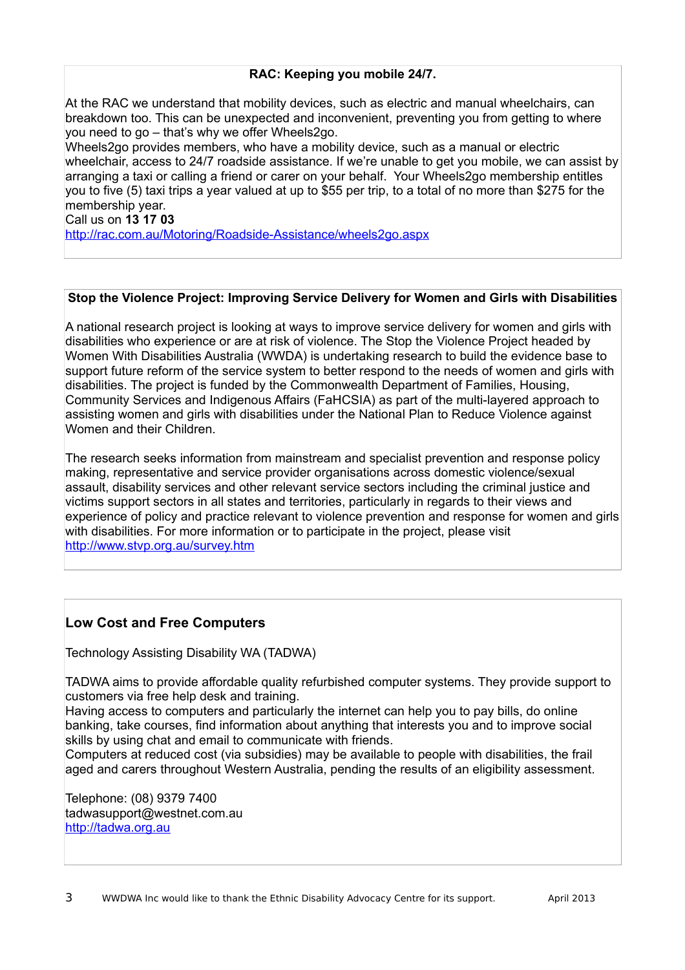## **RAC: Keeping you mobile 24/7.**

At the RAC we understand that mobility devices, such as electric and manual wheelchairs, can breakdown too. This can be unexpected and inconvenient, preventing you from getting to where you need to go – that's why we offer Wheels2go.

Wheels2go provides members, who have a mobility device, such as a manual or electric wheelchair, access to 24/7 roadside assistance. If we're unable to get you mobile, we can assist by arranging a taxi or calling a friend or carer on your behalf. Your Wheels2go membership entitles you to five (5) taxi trips a year valued at up to \$55 per trip, to a total of no more than \$275 for the membership year.

Call us on **13 17 03**

<http://rac.com.au/Motoring/Roadside-Assistance/wheels2go.aspx>

## **Stop the Violence Project: Improving Service Delivery for Women and Girls with Disabilities**

A national research project is looking at ways to improve service delivery for women and girls with disabilities who experience or are at risk of violence. The Stop the Violence Project headed by Women With Disabilities Australia (WWDA) is undertaking research to build the evidence base to support future reform of the service system to better respond to the needs of women and girls with disabilities. The project is funded by the Commonwealth Department of Families, Housing, Community Services and Indigenous Affairs (FaHCSIA) as part of the multi-layered approach to assisting women and girls with disabilities under the National Plan to Reduce Violence against Women and their Children.

The research seeks information from mainstream and specialist prevention and response policy making, representative and service provider organisations across domestic violence/sexual assault, disability services and other relevant service sectors including the criminal justice and victims support sectors in all states and territories, particularly in regards to their views and experience of policy and practice relevant to violence prevention and response for women and girls with disabilities. For more information or to participate in the project, please visit <http://www.stvp.org.au/survey.htm>

## **Low Cost and Free Computers**

Technology Assisting Disability WA (TADWA)

TADWA aims to provide affordable quality refurbished computer systems. They provide support to customers via free help desk and training.

Having access to computers and particularly the internet can help you to pay bills, do online banking, take courses, find information about anything that interests you and to improve social skills by using chat and email to communicate with friends.

Computers at reduced cost (via subsidies) may be available to people with disabilities, the frail aged and carers throughout Western Australia, pending the results of an eligibility assessment.

Telephone: (08) 9379 7400 tadwasupport@westnet.com.au [http://tadwa.org.au](http://tadwa.org.au/)